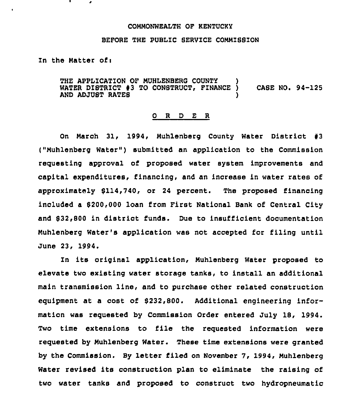#### COHMONWEALTH OF KENTUCKY

#### BEFORE THE PUBLIC SERVICE COMMISSION

Zn the Hatter ofi

THE APPLICATION OF MUHLENBERG COUNTY )<br>WATER DISTRICT #3 TO CONSTRUCT, FINANCE ) WATER DISTRICT #3 TO CONSTRUCT, FINANCE CASE NO. 94-125 AND ADJUST RATES

#### 0 R <sup>D</sup> E R

On March 31, 1994, Muhlenberg County Water District #3 ("Muhlenberg Water") submitted an application to the Commission requesting approval of proposed water system improvements and capital expenditures, financing, and an increase in water rates of approximately 8114,740, or 24 percent. The proposed financing included a 8200,000 loan from First National Bank of Central City and \$32,800 in district funds. Due to insufficient documentation Huhlenberg Water's application was not accepted for filing until June 23, 1994.

In its original application, Muhlenberg Water proposed to elevate two existing water storage tanks, to install an additional main transmission line, and to purchase other related construction equipment at a cost of 8232,800. Additional engineering information was requested by Commission Order entered July 18, 1994. Two time extensions to file the requested information were requested by Huhlenberg Water. These time extensions were granted by the Commission, By letter filed on November 7, 1994, Huhlenberg Water revised its construction plan to eliminate the raising of two water tanks and proposed to construct two hydropneumatic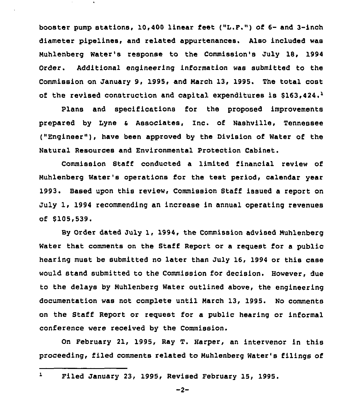booster pump stations, 10,400 linear feet ("L.F.") of 6- and 3-inch diameter pipelines, and related appurtenances. Also included was Nuhlenberg Water's response to the Commission's July 18, 1994 Order. Additional engineering information was submitted to the Commission on January 9, 1995, and March 13, 1995. The total cost of the revised construction and capital expenditures is  $$163,424.^1$ 

Plans and specifications for the proposed improvements prepared by Lyne <sup>a</sup> Associates, Inc. of Nashville, Tennessee ("Engineer"), have been approved by the Division of Water of the Natural Resources and Environmental Protection Cabinet,

Commission Staff conducted a limited financial review of Nuhlenberg water's operations for the test period, calendar year 1993. Based upon this review, Commission Staff issued a report on July 1, 1994 recommending an increase in annual operating revenues of 6105,539.

By Order dated July 1, 1994, the Commission advised Nuhlenberg Water that comments on the Staff Report or a request for a public hearing must be submitted no later than July 16, 1994 or this case would stand submitted to the Commission for decision. However, due to the delays by Muhlenberg Water outlined above, the engineering documentation was not complete until March 13, 1995. No comments on the Staff Report or request for a public hearing or informal conference were received by the Commission.

On February 21, 1995, Ray T. Harper, an intervenor in this proceeding, filed comments related to Nuhlenberg Water's filings of

 $-2-$ 

 $\mathbf{1}$ Filed January 23, 1995, Revised February 15, 1995.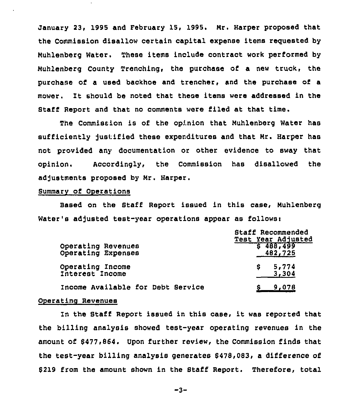January 23, 1995 and February 15, 1995. Mr. Harper proposed that the Commission disallow certain capital expense items reguested by Muhlenberg Water. These items include contract work performed by Muhlenberg County Trenching< the purchase of a new truck, the purchase of a used backhoe and trencher, and the purchase of a mower. It should be noted that these items were addressed in the Staff Report and that no comments were filed at that time.

The Commission is of the opinion that Muhlenberg Water has sufficiently justified these expenditures and that Mr. Harper has not provided any documentation or other evidence to sway that opinion. Accordingly <sup>&</sup>lt; the Commission has disallowed the adjustments proposed by Mr. Harper.

### Summarv of Operations

Based on the Staff Report issued in this case, Muhlenberg Water's adjusted test-year operations appear as follows:

|                                          | Staff Recommended<br>Test Year Adjusted |
|------------------------------------------|-----------------------------------------|
| Operating Revenues<br>Operating Expenses | 5488,499<br>482,725                     |
| Operating Income<br>Interest Income      | 5,774<br>S.<br>3,304                    |
| Income Available for Debt Service        | 9,078                                   |

## Operating Revenues

In the Staff Report issued in this case, it was reported that the billing analysis showed test-year operating revenues in the amount of 8477,864. Upon further review, the Commission finds that the test-year billing analysis generates 8478,083, a difference of 8219 from the amount shown in the Staff Report. Therefore, total

 $-3-$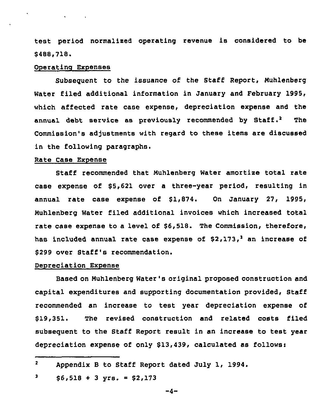test period normalized operating revenue is considered to be \$ 488,718.

#### Operating Expenses

Subseguent to the issuance of the Staff Report, Nuhlenberg Water filed additional information in January and February 1995, which affected rate case expense, depreciation expense and the annual debt service as previously recommended by Staff.<sup>2</sup> The Commission's adjustments with regard to these items are discussed in the following paragraphs.

## Rate Case Expense

Staff recommended that Nuhlenberg Water amortize total rate case expense of \$5,621 over a three-year period, resulting in annual rate case expense of \$1,874. On January 27, 1995, Nuhlenberg Water filed additional invoices which increased total rate case expense to a level of \$6,518. The Commission, therefore, has included annual rate case expense of  $$2,173$ , an increase of \$ 299 over Staff's recommendation.

### Depreciation Expense

Based on Nuhlenberg Water's original proposed construction and capital expenditures and supporting documentation provided, Staff recommended an increase to test year depreciation expense of \$ 19,351. The revised construction and related costs filed subsequent to the Staff Report result in an increase to test year depreciation expense of only  $$13,439$ , calculated as follows:

 $\mathbf{z}$ Appendix <sup>B</sup> to Staff Report dated July 1, 1994.

<sup>3</sup>  $$6,518 + 3 \text{ yrs.} = $2,173$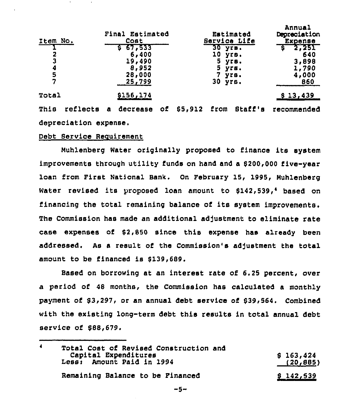| Item No.              | Final Estimated<br>Cost |              |    | Estimated<br>Service Life |                   |      | Annual<br>Depreciation<br>Expense |             |
|-----------------------|-------------------------|--------------|----|---------------------------|-------------------|------|-----------------------------------|-------------|
|                       |                         | 67.533<br>S. |    |                           | $30 \text{ yr}$ . |      |                                   | 2,251       |
| 2                     |                         | 6,400        |    |                           | 10                |      | yrs.                              | 640         |
| 3                     |                         | 19,490       |    |                           |                   |      | 5 угв.                            | 3,898       |
|                       |                         | 8,952        |    |                           | 5.                | yrs. |                                   | 1,790       |
| $\frac{4}{5}$         |                         | 28,000       |    |                           | 7                 |      | yrs.                              | 4,000       |
| 7                     |                         | 25,799       |    |                           | $30$ yrs.         |      |                                   | 860         |
| Total                 |                         | \$156,174    |    |                           |                   |      |                                   | \$13,439    |
| This<br>reflects      | $\bullet$               | decrease     | оf | \$5,912                   | from              |      | Staff's                           | recommended |
| depreciation expense. |                         |              |    |                           |                   |      |                                   |             |

Debt Service Requirement

Nuhlenberg Water originally proposed to finance its system improvements through utility funds on hand and a 8200,000 five-year loan from First National Bank. On February 15, 1995, Nuhlenberg Water revised its proposed loan amount to  $$142,539,$ <sup>4</sup> based on financing the total remaining balance of its system improvements. The Commission has made an additional adjustment to eliminate rate case expenses of 52,850 since this expense has already been addressed. As a result of the Commission's adjustment the total amount to be financed is 6139,689.

Based on borrowing at an interest rate of 6.25 percent, over a period of 48 months, the Commission has calculated a monthly payment of 83,297, or an annual debt service of 839,564. Combined with the existing long-term debt this results in total annual debt service of 588,679.

| 4 | Total Cost of Revised Construction and<br>Capital Expenditures | \$163,424        |
|---|----------------------------------------------------------------|------------------|
|   | Less: Amount Paid in 1994                                      | (20, 885)        |
|   | Remaining Balance to be Financed                               | <u>\$142,539</u> |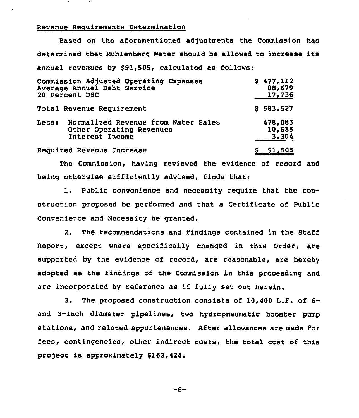### Revenue Reauirements Determination

Based on the aforementioned adjustments the Commission has determined that Nuhlenberg Water should be allowed to increase its annual revenues by \$91,505, calculated as follows:

| Commission Adjusted Operating Expenses<br>Average Annual Debt Service<br>20 Percent DSC     | \$477,112<br>88,679<br>17,736 |
|---------------------------------------------------------------------------------------------|-------------------------------|
| Total Revenue Requirement                                                                   | \$583,527                     |
| Normalized Revenue from Water Sales<br>Less:<br>Other Operating Revenues<br>Interest Income | 478,083<br>10,635<br>3,304    |
| Required Revenue Increase                                                                   | <u>\$91,505</u>               |

The Commission, having reviewed the evidence of record and being otherwise sufficiently advised, finds that:

1, Public convenience and necessity require that the construction proposed be performed and that a Certificate of Public Convenience and Necessity be granted.

2. The recommendations and findings contained in the Staff Report, except where specifically changed in this Order, are supported by the evidence of record, are reasonable, are hereby adopted as the findings of the Commission in this proceeding and are incorporated by reference as if fully set out herein.

3. The proposed construction consists of 10,400 L.F. of 6 and 3-inch diameter pipelines, two hydropneumatic booster pump stations, and related appurtenances. After allowances are made for fees, contingencies, other indirect costs, the total cost of this project is approximately \$163,424.

 $-6-$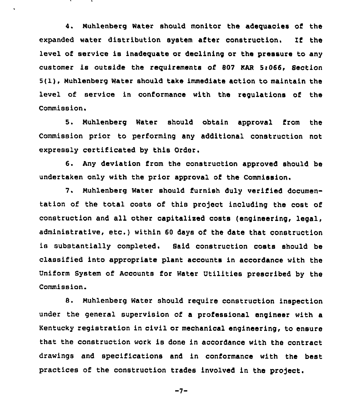4. Nuhlenberg Water should monitor the adequacies of the expanded water distribution system after construction. If the level of service is inadequate or declining or the pressure to any customer is outside the requirements of 80? WAR 5r066, Section 5(1), Nuhlenberg Water should take immediate action to maintain the level of service in conformance with the regulations of the Commission.

5, Nuhlenberg Water should obtain approval from the Commission prior to performing any additional construction not expressly certificated by this Order.

6. Any deviation from the construction approved should be undertaken only with the prior approval of the Commission.

7. Nuhlenberg Water should furnish duly verified documentation of the total costs of this project including the cost of construction and all other capitalised costs (engineering, legal, administrative, etc,) within <sup>60</sup> days of the date that construction is substantially completed. Said construction costs should be classified into appropriate plant accounts in accordance with the Uniform System of Accounts for Water Utilities prescribed by the Commission.

8. Nuhlenberg Water should require construction inspection under the general supervision of a professional engineer with a Kentucky registration in civil or mechanical engineering, to ensure that the construction work is done in accordance with the contract drawings and specifications and in conformance with the best practices of the construction trades involved in the project.

 $-7-$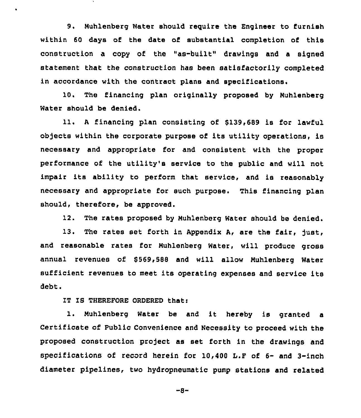9. Muhlenberg Water should require the Engineer to furnish within 60 days of the date of substantial completion of this construction a copy of the "as-built" drawings and a signed statement that the construction has been satisfactorily completed in accordance with the contract plans and specifications.

10. The financing plan originally proposed by Nuhlenberg Water should be denied.

11. <sup>A</sup> financing plan consisting of 8139,689 is for lawful objects within the corporate purpose of its utility operations, is necessary and appropriate for and consistent with the proper performance of the utility's service to the public and will not impair its ability to perform that service, and is reasonably necessary and appropriate for such purpose. This financing plan should, therefore, be approved.

12. The rates proposed by Nuhlenberg Water should be denied.

13. The rates set forth in Appendix A, are the fair, just, and reasonable rates for Nuhlenberg Water, will produce gross annual revenues of \$569,588 and will allow Muhlenberg Water sufficient revenues to meet its operating expenses and service its debt.

IT IS THEREFORE ORDERED that:

 $\bullet$ 

1. Nuhlenberg Water be and it hereby is granted <sup>a</sup> Certificate of public Convenience and Necessity to proceed with the proposed construction project as set forth in the drawings and specifications of record herein for 10,400 I.P of 6- and 3-inch diameter pipelines, two hydropneumatic pump stations and related

-8-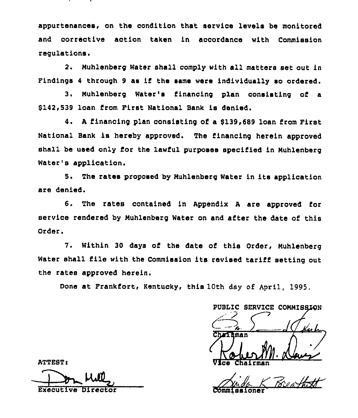appurtenances, on the condition that service levels be monitored and corrective action taken in accordance with Commission regulations.

2. Muhlenberg Water shall comply with all matters set out in Findings 4 through 9 as if the same were individually so ordered.

3. Muhlenberg Water's financing plan consisting of a \$142,539 loan from First National Bank is denied.

4. <sup>A</sup> financing plan consisting of a 6139,689 loan from First National Bank is hereby approved. The financing herein approved shall be used only for the lawful purposes specified in Muhlenberg Water's application.

5. The rates proposed by Muhlenbarg Water in its application are denied.

6. The rates contained in Appendix <sup>A</sup> are approved for service rendered by Muhisnberg Water on and after the date of this Order.

7. Within 30 days of ths date of this Order, Muhlenberg Water shall file with the Commission its revised tariff setting out the rates approved herein.

Done at Frankfort, Kentucky, this 10th day of April, 1995.

PUBLIC SERVICE COMMISSION Ka h Charleman Vice Chairma

Anda K Commissione

ATTEST:

HA Executive Director